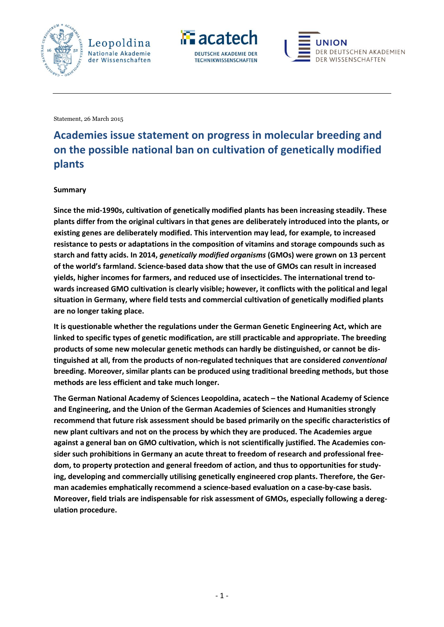





Statement, 26 March 2015

# **Academies issue statement on progress in molecular breeding and on the possible national ban on cultivation of genetically modified plants**

#### **Summary**

**Since the mid-1990s, cultivation of genetically modified plants has been increasing steadily. These plants differ from the original cultivars in that genes are deliberately introduced into the plants, or existing genes are deliberately modified. This intervention may lead, for example, to increased resistance to pests or adaptations in the composition of vitamins and storage compounds such as starch and fatty acids. In 2014,** *genetically modified organisms* **(GMOs) were grown on 13 percent of the world's farmland. Science-based data show that the use of GMOs can result in increased yields, higher incomes for farmers, and reduced use of insecticides. The international trend towards increased GMO cultivation is clearly visible; however, it conflicts with the political and legal situation in Germany, where field tests and commercial cultivation of genetically modified plants are no longer taking place.**

**It is questionable whether the regulations under the German Genetic Engineering Act, which are linked to specific types of genetic modification, are still practicable and appropriate. The breeding products of some new molecular genetic methods can hardly be distinguished, or cannot be distinguished at all, from the products of non-regulated techniques that are considered** *conventional* **breeding. Moreover, similar plants can be produced using traditional breeding methods, but those methods are less efficient and take much longer.**

**The German National Academy of Sciences Leopoldina, acatech – the National Academy of Science and Engineering, and the Union of the German Academies of Sciences and Humanities strongly recommend that future risk assessment should be based primarily on the specific characteristics of new plant cultivars and not on the process by which they are produced. The Academies argue against a general ban on GMO cultivation, which is not scientifically justified. The Academies consider such prohibitions in Germany an acute threat to freedom of research and professional freedom, to property protection and general freedom of action, and thus to opportunities for studying, developing and commercially utilising genetically engineered crop plants. Therefore, the German academies emphatically recommend a science-based evaluation on a case-by-case basis. Moreover, field trials are indispensable for risk assessment of GMOs, especially following a deregulation procedure.**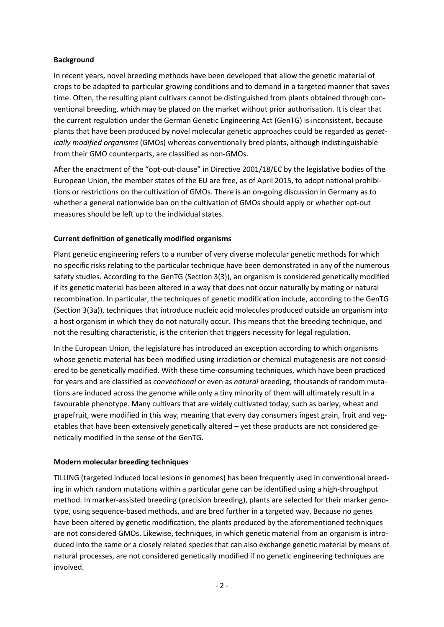# **Background**

In recent years, novel breeding methods have been developed that allow the genetic material of crops to be adapted to particular growing conditions and to demand in a targeted manner that saves time. Often, the resulting plant cultivars cannot be distinguished from plants obtained through conventional breeding, which may be placed on the market without prior authorisation. It is clear that the current regulation under the German Genetic Engineering Act (GenTG) is inconsistent, because plants that have been produced by novel molecular genetic approaches could be regarded as *genetically modified organisms* (GMOs) whereas conventionally bred plants, although indistinguishable from their GMO counterparts, are classified as non-GMOs.

After the enactment of the "opt-out-clause" in Directive 2001/18/EC by the legislative bodies of the European Union, the member states of the EU are free, as of April 2015, to adopt national prohibitions or restrictions on the cultivation of GMOs. There is an on-going discussion in Germany as to whether a general nationwide ban on the cultivation of GMOs should apply or whether opt-out measures should be left up to the individual states.

# **Current definition of genetically modified organisms**

Plant genetic engineering refers to a number of very diverse molecular genetic methods for which no specific risks relating to the particular technique have been demonstrated in any of the numerous safety studies. According to the GenTG (Section 3(3)), an organism is considered genetically modified if its genetic material has been altered in a way that does not occur naturally by mating or natural recombination. In particular, the techniques of genetic modification include, according to the GenTG (Section 3(3a)), techniques that introduce nucleic acid molecules produced outside an organism into a host organism in which they do not naturally occur. This means that the breeding technique, and not the resulting characteristic, is the criterion that triggers necessity for legal regulation.

In the European Union, the legislature has introduced an exception according to which organisms whose genetic material has been modified using irradiation or chemical mutagenesis are not considered to be genetically modified. With these time-consuming techniques, which have been practiced for years and are classified as *conventional* or even as *natural* breeding, thousands of random mutations are induced across the genome while only a tiny minority of them will ultimately result in a favourable phenotype. Many cultivars that are widely cultivated today, such as barley, wheat and grapefruit, were modified in this way, meaning that every day consumers ingest grain, fruit and vegetables that have been extensively genetically altered – yet these products are not considered genetically modified in the sense of the GenTG.

#### **Modern molecular breeding techniques**

TILLING (targeted induced local lesions in genomes) has been frequently used in conventional breeding in which random mutations within a particular gene can be identified using a high-throughput method. In marker-assisted breeding (precision breeding), plants are selected for their marker genotype, using sequence-based methods, and are bred further in a targeted way. Because no genes have been altered by genetic modification, the plants produced by the aforementioned techniques are not considered GMOs. Likewise, techniques, in which genetic material from an organism is introduced into the same or a closely related species that can also exchange genetic material by means of natural processes, are not considered genetically modified if no genetic engineering techniques are involved.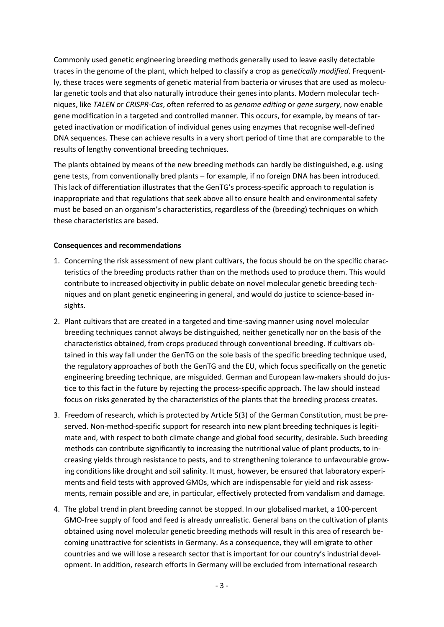Commonly used genetic engineering breeding methods generally used to leave easily detectable traces in the genome of the plant, which helped to classify a crop as *genetically modified*. Frequently, these traces were segments of genetic material from bacteria or viruses that are used as molecular genetic tools and that also naturally introduce their genes into plants. Modern molecular techniques, like *TALEN* or *CRISPR-Cas*, often referred to as *genome editing* or *gene surgery*, now enable gene modification in a targeted and controlled manner. This occurs, for example, by means of targeted inactivation or modification of individual genes using enzymes that recognise well-defined DNA sequences. These can achieve results in a very short period of time that are comparable to the results of lengthy conventional breeding techniques.

The plants obtained by means of the new breeding methods can hardly be distinguished, e.g. using gene tests, from conventionally bred plants – for example, if no foreign DNA has been introduced. This lack of differentiation illustrates that the GenTG's process-specific approach to regulation is inappropriate and that regulations that seek above all to ensure health and environmental safety must be based on an organism's characteristics, regardless of the (breeding) techniques on which these characteristics are based.

## **Consequences and recommendations**

- 1. Concerning the risk assessment of new plant cultivars, the focus should be on the specific characteristics of the breeding products rather than on the methods used to produce them. This would contribute to increased objectivity in public debate on novel molecular genetic breeding techniques and on plant genetic engineering in general, and would do justice to science-based insights.
- 2. Plant cultivars that are created in a targeted and time-saving manner using novel molecular breeding techniques cannot always be distinguished, neither genetically nor on the basis of the characteristics obtained, from crops produced through conventional breeding. If cultivars obtained in this way fall under the GenTG on the sole basis of the specific breeding technique used, the regulatory approaches of both the GenTG and the EU, which focus specifically on the genetic engineering breeding technique, are misguided. German and European law-makers should do justice to this fact in the future by rejecting the process-specific approach. The law should instead focus on risks generated by the characteristics of the plants that the breeding process creates.
- 3. Freedom of research, which is protected by Article 5(3) of the German Constitution, must be preserved. Non-method-specific support for research into new plant breeding techniques is legitimate and, with respect to both climate change and global food security, desirable. Such breeding methods can contribute significantly to increasing the nutritional value of plant products, to increasing yields through resistance to pests, and to strengthening tolerance to unfavourable growing conditions like drought and soil salinity. It must, however, be ensured that laboratory experiments and field tests with approved GMOs, which are indispensable for yield and risk assessments, remain possible and are, in particular, effectively protected from vandalism and damage.
- 4. The global trend in plant breeding cannot be stopped. In our globalised market, a 100-percent GMO-free supply of food and feed is already unrealistic. General bans on the cultivation of plants obtained using novel molecular genetic breeding methods will result in this area of research becoming unattractive for scientists in Germany. As a consequence, they will emigrate to other countries and we will lose a research sector that is important for our country's industrial development. In addition, research efforts in Germany will be excluded from international research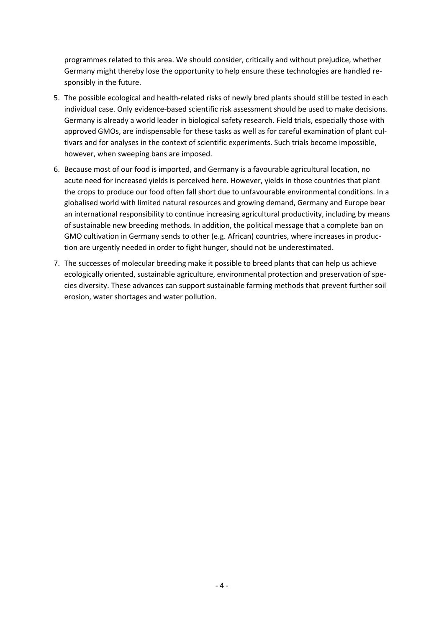programmes related to this area. We should consider, critically and without prejudice, whether Germany might thereby lose the opportunity to help ensure these technologies are handled responsibly in the future.

- 5. The possible ecological and health-related risks of newly bred plants should still be tested in each individual case. Only evidence-based scientific risk assessment should be used to make decisions. Germany is already a world leader in biological safety research. Field trials, especially those with approved GMOs, are indispensable for these tasks as well as for careful examination of plant cultivars and for analyses in the context of scientific experiments. Such trials become impossible, however, when sweeping bans are imposed.
- 6. Because most of our food is imported, and Germany is a favourable agricultural location, no acute need for increased yields is perceived here. However, yields in those countries that plant the crops to produce our food often fall short due to unfavourable environmental conditions. In a globalised world with limited natural resources and growing demand, Germany and Europe bear an international responsibility to continue increasing agricultural productivity, including by means of sustainable new breeding methods. In addition, the political message that a complete ban on GMO cultivation in Germany sends to other (e.g. African) countries, where increases in production are urgently needed in order to fight hunger, should not be underestimated.
- 7. The successes of molecular breeding make it possible to breed plants that can help us achieve ecologically oriented, sustainable agriculture, environmental protection and preservation of species diversity. These advances can support sustainable farming methods that prevent further soil erosion, water shortages and water pollution.